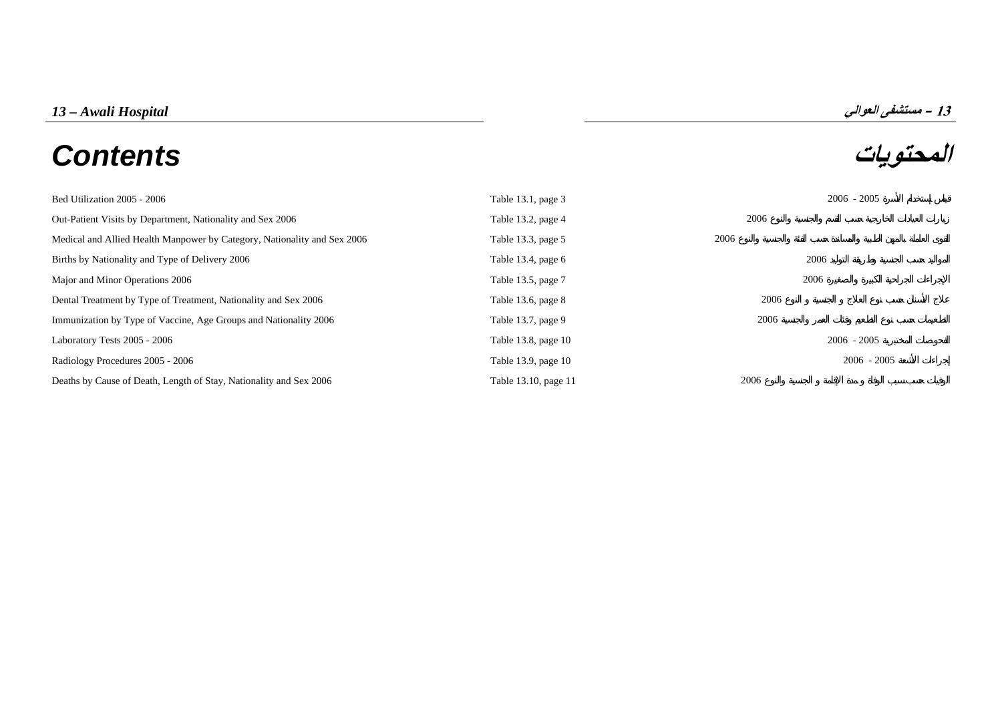# **المحتويات** *Contents*



| Bed Utilization 2005 - 2006                                              | Table 13.1, page 3   |      | $2006 - 2005$ |
|--------------------------------------------------------------------------|----------------------|------|---------------|
| Out-Patient Visits by Department, Nationality and Sex 2006               | Table 13.2, page 4   | 2006 |               |
| Medical and Allied Health Manpower by Category, Nationality and Sex 2006 | Table 13.3, page 5   | 2006 |               |
| Births by Nationality and Type of Delivery 2006                          | Table 13.4, page 6   |      | 2006          |
| Major and Minor Operations 2006                                          | Table 13.5, page 7   |      | 2006          |
| Dental Treatment by Type of Treatment, Nationality and Sex 2006          | Table 13.6, page 8   | 2006 |               |
| Immunization by Type of Vaccine, Age Groups and Nationality 2006         | Table 13.7, page 9   | 2006 |               |
| Laboratory Tests 2005 - 2006                                             | Table 13.8, page 10  |      | $2006 - 2005$ |
| Radiology Procedures 2005 - 2006                                         | Table 13.9, page 10  |      | $2006 - 2005$ |
| Deaths by Cause of Death, Length of Stay, Nationality and Sex 2006       | Table 13.10, page 11 | 2006 |               |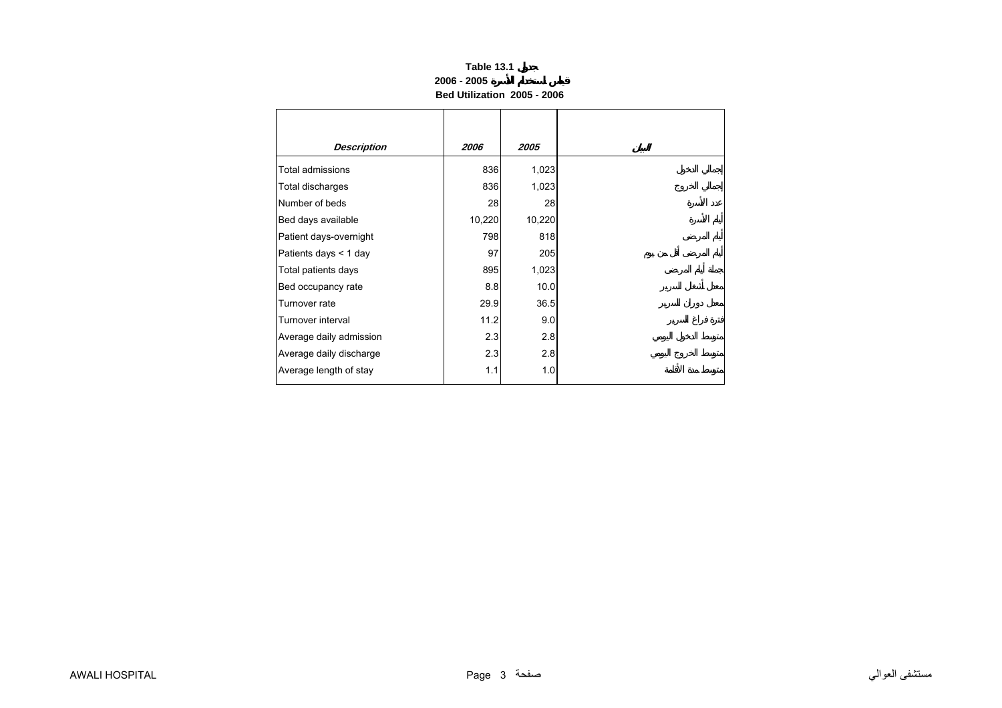## **Table 13.1 2006 - 2005Bed Utilization 2005 - 2006**

<span id="page-1-0"></span>

| <b>Description</b>      | 2006   | 2005   |
|-------------------------|--------|--------|
| Total admissions        | 836    | 1,023  |
| Total discharges        | 836    | 1,023  |
| Number of beds          | 28     | 28     |
| Bed days available      | 10,220 | 10,220 |
| Patient days-overnight  | 798    | 818    |
| Patients days < 1 day   | 97     | 205    |
| Total patients days     | 895    | 1,023  |
| Bed occupancy rate      | 8.8    | 10.0   |
| Turnover rate           | 29.9   | 36.5   |
| Turnover interval       | 11.2   | 9.0    |
| Average daily admission | 2.3    | 2.8    |
| Average daily discharge | 2.3    | 2.8    |
| Average length of stay  | 1.1    | 1.0    |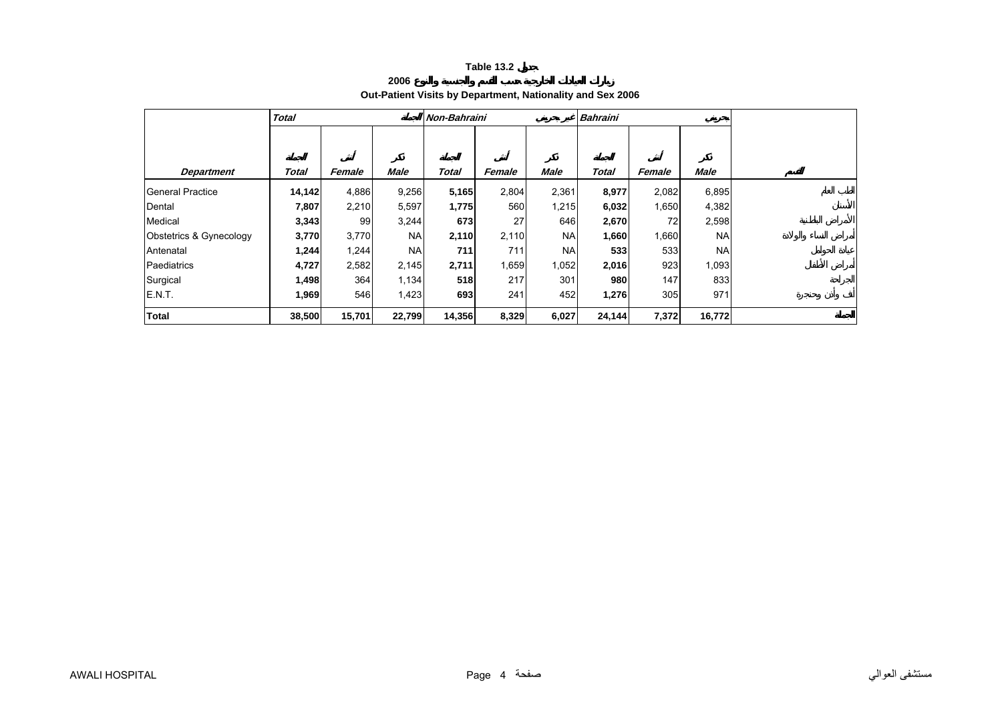**2006**

# **Out-Patient Visits by Department, Nationality and Sex 2006**

<span id="page-2-0"></span>

|                         | <b>Total</b> |        |             | Non-Bahraini |        |             | <b>Bahraini</b> |        |             |  |
|-------------------------|--------------|--------|-------------|--------------|--------|-------------|-----------------|--------|-------------|--|
|                         |              |        |             |              |        |             |                 |        |             |  |
| <b>Department</b>       | <b>Total</b> | Female | <b>Male</b> | Total        | Female | <b>Male</b> | <b>Total</b>    | Female | <b>Male</b> |  |
| <b>General Practice</b> | 14,142       | 4,886  | 9,256       | 5,165        | 2,804  | 2,361       | 8,977           | 2,082  | 6,895       |  |
| Dental                  | 7,807        | 2,210  | 5,597       | 1,775        | 560    | 1,215       | 6,032           | 1,650  | 4,382       |  |
| Medical                 | 3,343        | 99     | 3,244       | 673          | 27     | 646         | 2,670           | 72     | 2,598       |  |
| Obstetrics & Gynecology | 3,770        | 3,770  | <b>NA</b>   | 2,110        | 2,110  | <b>NA</b>   | 1,660           | 1,660  | <b>NA</b>   |  |
| Antenatal               | 1,244        | 1,244  | <b>NA</b>   | 711          | 711    | <b>NA</b>   | 533             | 533    | <b>NA</b>   |  |
| Paediatrics             | 4,727        | 2,582  | 2,145       | 2,711        | 1,659  | 1,052       | 2,016           | 923    | 1,093       |  |
| Surgical                | 1,498        | 364    | 1,134       | 518          | 217    | 301         | 980             | 147    | 833         |  |
| E.N.T.                  | 1,969        | 546    | 1,423       | 693          | 241    | 452         | 1,276           | 305    | 971         |  |
| <b>Total</b>            | 38,500       | 15,701 | 22,799      | 14,356       | 8,329  | 6,027       | 24,144          | 7,372  | 16,772      |  |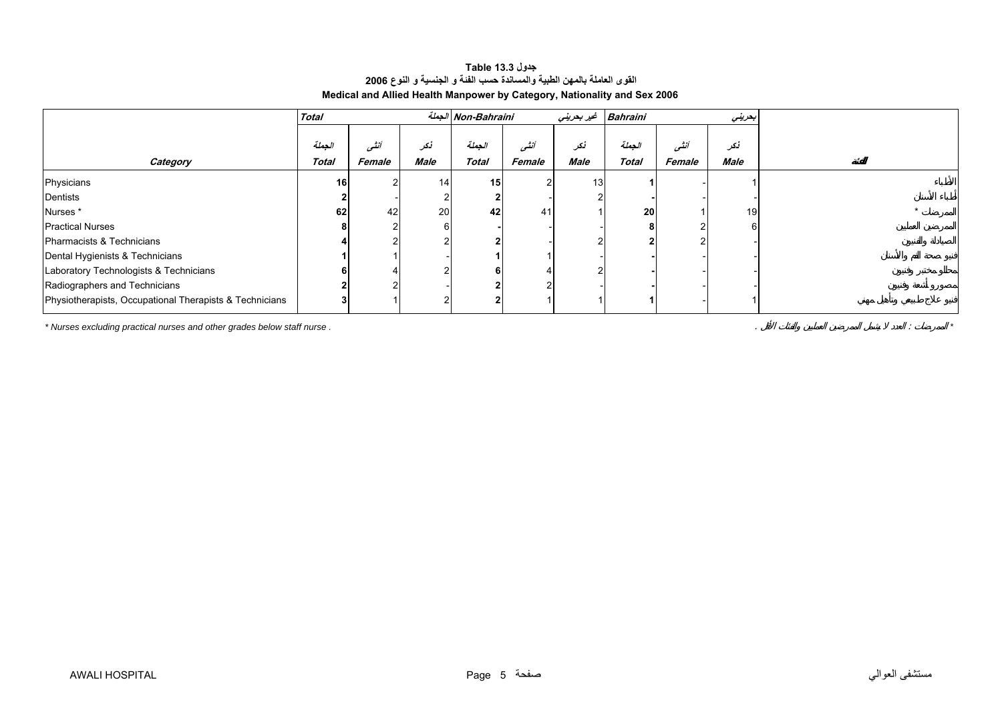| جدول Table 13.3                                                          |
|--------------------------------------------------------------------------|
| القوى العاملة بالمهن الطبية والمساندة حسب الفئة و الجنسية و النوع 2006   |
| Medical and Allied Health Manpower by Category, Nationality and Sex 2006 |

<span id="page-3-0"></span>

|                                                                         | <b>Total</b>    |                |                 | الجملة Non-Bahraini |        | غير بحريني | Bahraini     |        | بعريني |
|-------------------------------------------------------------------------|-----------------|----------------|-----------------|---------------------|--------|------------|--------------|--------|--------|
|                                                                         |                 |                |                 |                     |        |            |              |        |        |
|                                                                         | الجملة          | انشى           | نكر             | الجملة              | أننسى  | نكر        | الجعلة       | أنشى   | نكر    |
| Category                                                                | Total           | Female         | <b>Male</b>     | <b>Total</b>        | Female | Male       | <b>Total</b> | Female | Male   |
| Physicians                                                              | 16 <sup>1</sup> | 2              | 14 <sub>1</sub> | 15                  |        | 13         |              |        |        |
| Dentists                                                                |                 |                |                 |                     |        |            |              |        |        |
| Nurses*                                                                 | 62              | 42             | 20              | 42                  | 41     |            | 20           |        | 19     |
| <b>Practical Nurses</b>                                                 |                 |                |                 |                     |        |            |              |        |        |
| Pharmacists & Technicians                                               |                 |                |                 |                     |        |            |              |        |        |
| Dental Hygienists & Technicians                                         |                 |                |                 |                     |        |            |              |        |        |
| Laboratory Technologists & Technicians                                  |                 |                |                 |                     |        |            |              |        |        |
| Radiographers and Technicians                                           |                 | $\overline{2}$ |                 |                     |        |            |              |        |        |
| Physiotherapists, Occupational Therapists & Technicians                 |                 |                |                 |                     |        |            |              |        |        |
| * Nurses excluding practical nurses and other grades below staff nurse. |                 |                |                 |                     |        |            |              |        |        |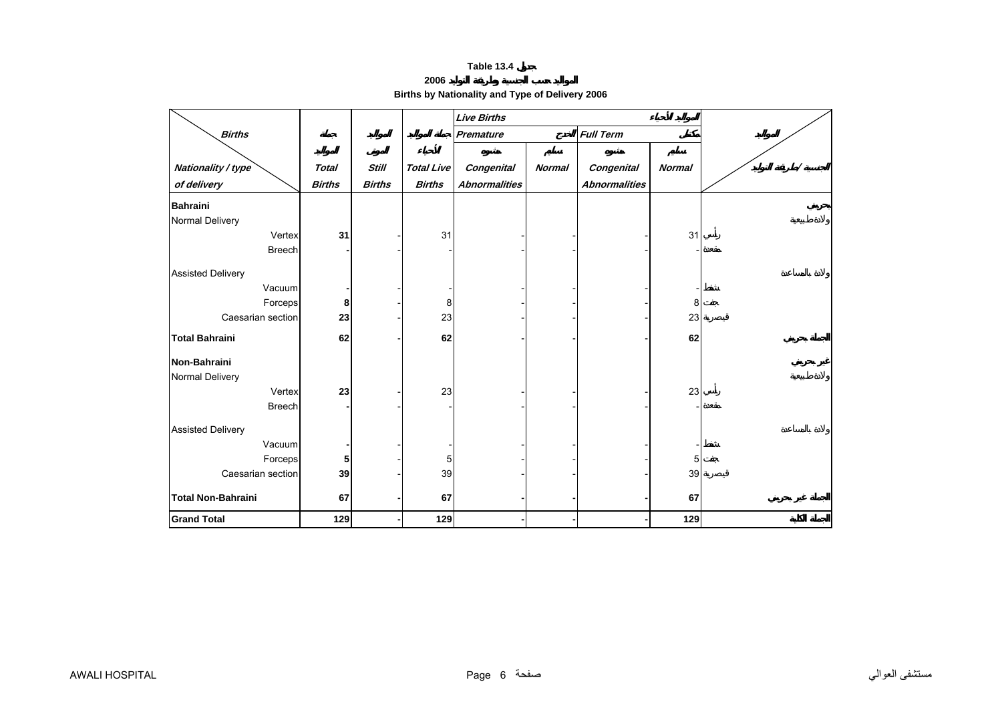**2006** 

**Births by Nationality and Type of Delivery 2006** 

<span id="page-4-0"></span>

|                           |               |               |                   | <b>Live Births</b>   |               |                      |               |   |
|---------------------------|---------------|---------------|-------------------|----------------------|---------------|----------------------|---------------|---|
| <b>Births</b>             |               |               |                   | Premature            |               | <b>Full Term</b>     |               |   |
|                           |               |               |                   |                      |               |                      |               |   |
| Nationality / type        | <b>Total</b>  | <b>Still</b>  | <b>Total Live</b> | <b>Congenital</b>    | <b>Normal</b> | <b>Congenital</b>    | <b>Normal</b> | Ϊ |
| of delivery               | <b>Births</b> | <b>Births</b> | <b>Births</b>     | <b>Abnormalities</b> |               | <b>Abnormalities</b> |               |   |
| <b>Bahraini</b>           |               |               |                   |                      |               |                      |               |   |
| Normal Delivery           |               |               |                   |                      |               |                      |               |   |
| Vertex                    | 31            |               | 31                |                      |               |                      | 31            |   |
| <b>Breech</b>             |               |               |                   |                      |               |                      |               |   |
| <b>Assisted Delivery</b>  |               |               |                   |                      |               |                      |               |   |
| Vacuum                    |               |               |                   |                      |               |                      |               |   |
| Forceps                   | 8             |               | 8                 |                      |               |                      | 8             |   |
| Caesarian section         | 23            |               | 23                |                      |               |                      | 23            |   |
| <b>Total Bahraini</b>     | 62            |               | 62                |                      |               |                      | 62            |   |
| Non-Bahraini              |               |               |                   |                      |               |                      |               |   |
| Normal Delivery           |               |               |                   |                      |               |                      |               |   |
| Vertex                    | 23            |               | 23                |                      |               |                      | 23            |   |
| <b>Breech</b>             |               |               |                   |                      |               |                      |               |   |
|                           |               |               |                   |                      |               |                      |               |   |
| <b>Assisted Delivery</b>  |               |               |                   |                      |               |                      |               |   |
| Vacuum                    |               |               |                   |                      |               |                      |               |   |
| Forceps                   | 5             |               | 5                 |                      |               |                      | 5             |   |
| Caesarian section         | 39            |               | 39                |                      |               |                      | 39            |   |
| <b>Total Non-Bahraini</b> | 67            |               | 67                |                      |               |                      | 67            |   |
| <b>Grand Total</b>        | 129           |               | 129               |                      |               |                      | 129           |   |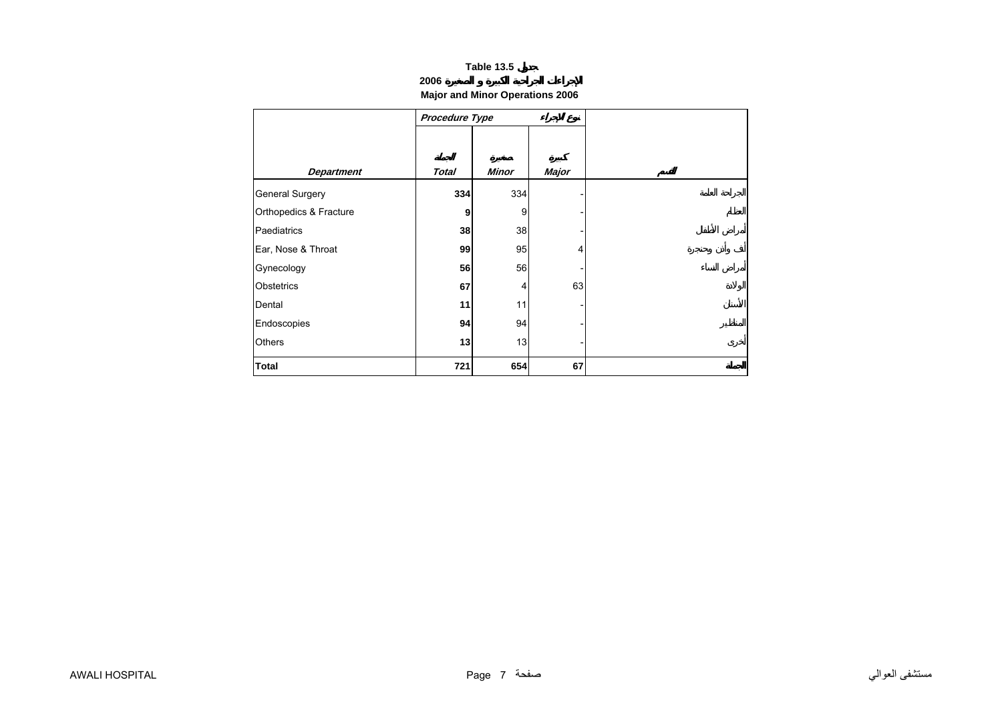## **2006**

# **Major and Minor Operations 2006**

<span id="page-5-0"></span>

|                        | Procedure Type |       |              |
|------------------------|----------------|-------|--------------|
|                        |                |       |              |
|                        |                |       |              |
| <b>Department</b>      | <b>Total</b>   | Minor | <b>Major</b> |
| <b>General Surgery</b> | 334            | 334   |              |
| Orthopedics & Fracture | 9              | 9     |              |
| Paediatrics            | 38             | 38    |              |
| Ear, Nose & Throat     | 99             | 95    | 4            |
| Gynecology             | 56             | 56    |              |
| Obstetrics             | 67             | 4     | 63           |
| Dental                 | 11             | 11    |              |
| Endoscopies            | 94             | 94    |              |
| <b>Others</b>          | 13             | 13    |              |
| <b>Total</b>           | 721            | 654   | 67           |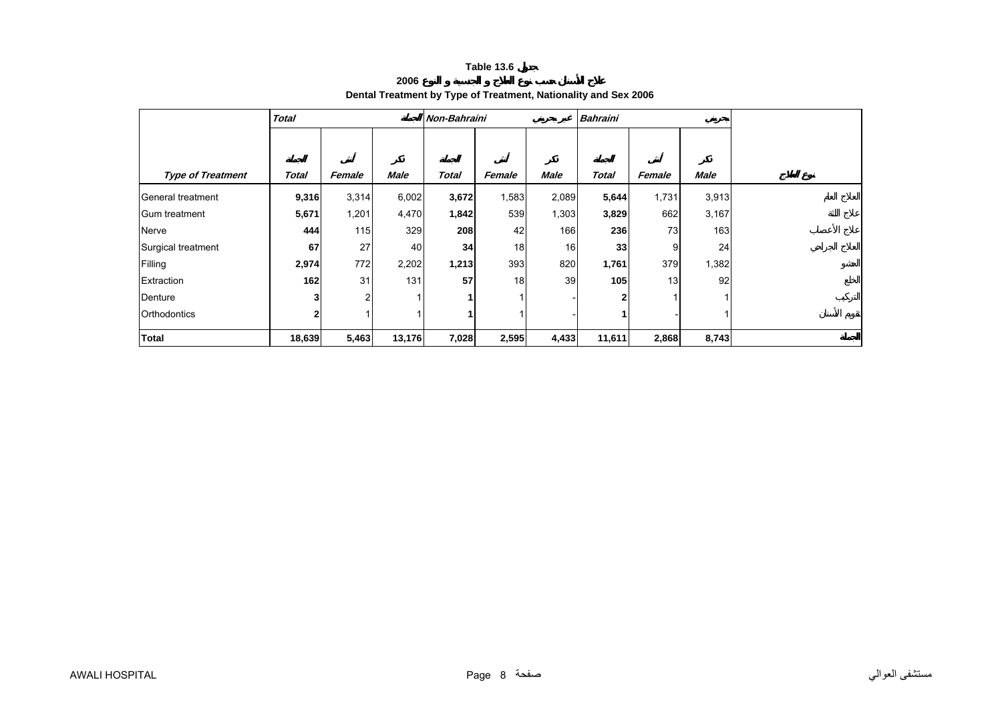**2006**

# **Dental Treatment by Type of Treatment, Nationality and Sex 2006**

<span id="page-6-0"></span>

|                          | <b>Total</b> |        |             | <b>Non-Bahraini</b> |        |             | <b>Bahraini</b> |        |             |
|--------------------------|--------------|--------|-------------|---------------------|--------|-------------|-----------------|--------|-------------|
|                          |              |        |             |                     |        |             |                 |        |             |
|                          |              |        |             |                     |        |             |                 |        |             |
| <b>Type of Treatment</b> | Total        | Female | <b>Male</b> | <b>Total</b>        | Female | <b>Male</b> | <b>Total</b>    | Female | <b>Male</b> |
| General treatment        | 9,316        | 3,314  | 6,002       | 3,672               | 1,583  | 2,089       | 5,644           | 1,731  | 3,913       |
| Gum treatment            | 5,671        | 1,201  | 4,470       | 1,842               | 539    | 1,303       | 3,829           | 662    | 3,167       |
| Nerve                    | 444          | 115    | 329         | 208                 | 42     | 166         | 236             | 73     | 163         |
| Surgical treatment       | 67           | 27     | 40          | 34                  | 18     | 16          | 33              | 9      | 24          |
| Filling                  | 2,974        | 772    | 2,202       | 1,213               | 393    | 820         | 1,761           | 379    | 1,382       |
| Extraction               | 162          | 31     | 131         | 57                  | 18     | 39          | 105             | 13     | 92          |
| Denture                  | 3            | 2      |             |                     |        |             |                 |        | 1           |
| Orthodontics             | 2            |        |             |                     |        |             |                 |        |             |
| Total                    | 18,639       | 5,463  | 13,176      | 7,028               | 2,595  | 4,433       | 11,611          | 2,868  | 8,743       |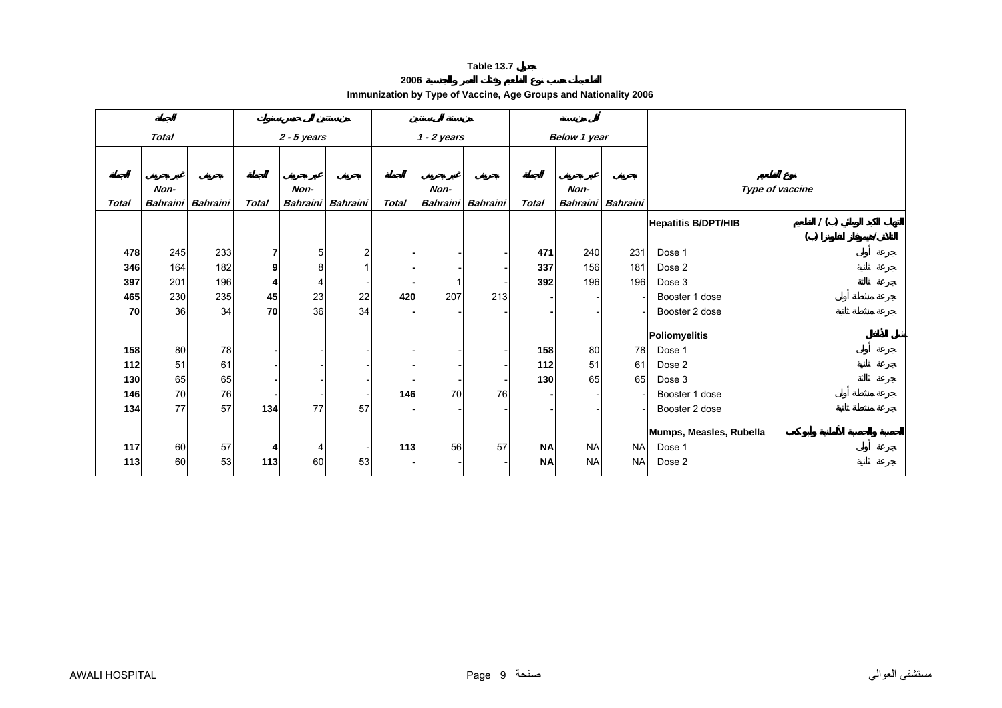#### **2006**

**Immunization by Type of Vaccine, Age Groups and Nationality 2006** 

<span id="page-7-0"></span>

|              | <b>Total</b> |                          |              | $2 - 5$ years   |          |              | $1 - 2$ years |                   |              | Below 1 year |                   |                                   |
|--------------|--------------|--------------------------|--------------|-----------------|----------|--------------|---------------|-------------------|--------------|--------------|-------------------|-----------------------------------|
|              |              |                          |              |                 |          |              |               |                   |              |              |                   |                                   |
|              |              |                          |              |                 |          |              |               |                   |              |              |                   |                                   |
|              |              |                          |              |                 |          |              |               |                   |              |              |                   |                                   |
|              | Non-         |                          |              | Non-            |          |              | Non-          |                   |              | Non-         |                   | Type of vaccine                   |
| <b>Total</b> |              | <b>Bahraini Bahraini</b> | <b>Total</b> | <b>Bahraini</b> | Bahraini | <b>Total</b> |               | Bahraini Bahraini | <b>Total</b> |              | Bahraini Bahraini |                                   |
|              |              |                          |              |                 |          |              |               |                   |              |              |                   | 1()<br><b>Hepatitis B/DPT/HIB</b> |
|              |              |                          |              |                 |          |              |               |                   |              |              |                   | ( )                               |
| 478          | 245          | 233                      | 7            | 5               | 2        |              |               |                   | 471          | 240          | 231               | Dose 1                            |
| 346          | 164          | 182                      | 9            | 8               |          |              |               |                   | 337          | 156          | 181               | Dose 2                            |
| 397          | 201          | 196                      | 4            |                 |          |              |               |                   | 392          | 196          | 196               | Dose 3                            |
| 465          | 230          | 235                      | 45           | 23              | 22       | 420          | 207           | 213               |              |              |                   | Booster 1 dose                    |
| 70           | 36           | 34                       | 70           | 36              | 34       |              |               |                   |              |              |                   | Booster 2 dose                    |
|              |              |                          |              |                 |          |              |               |                   |              |              |                   |                                   |
|              |              |                          |              |                 |          |              |               |                   |              |              |                   | <b>Poliomyelitis</b>              |
| 158          | 80           | 78                       |              |                 |          |              |               |                   | 158          | 80           | 78                | Dose 1                            |
| $112$        | 51           | 61                       |              |                 |          |              |               |                   | 112          | 51           | 61                | Dose 2                            |
| 130          | 65           | 65                       |              |                 |          |              |               |                   | 130          | 65           | 65                | Dose 3                            |
| 146          | 70           | 76                       |              |                 |          | 146          | 70            | 76                |              |              |                   | Booster 1 dose                    |
| 134          | 77           | 57                       | 134          | 77              | 57       |              |               |                   |              |              |                   | Booster 2 dose                    |
|              |              |                          |              |                 |          |              |               |                   |              |              |                   | Mumps, Measles, Rubella           |
| 117          | 60           | 57                       | 4            | 4               |          | 113          | 56            | 57                | <b>NA</b>    | <b>NA</b>    | <b>NA</b>         | Dose 1                            |
|              |              | 53                       |              | 60              |          |              |               |                   |              |              |                   |                                   |
| 113          | 60           |                          | 113          |                 | 53       |              |               |                   | <b>NA</b>    | <b>NA</b>    | <b>NA</b>         | Dose 2                            |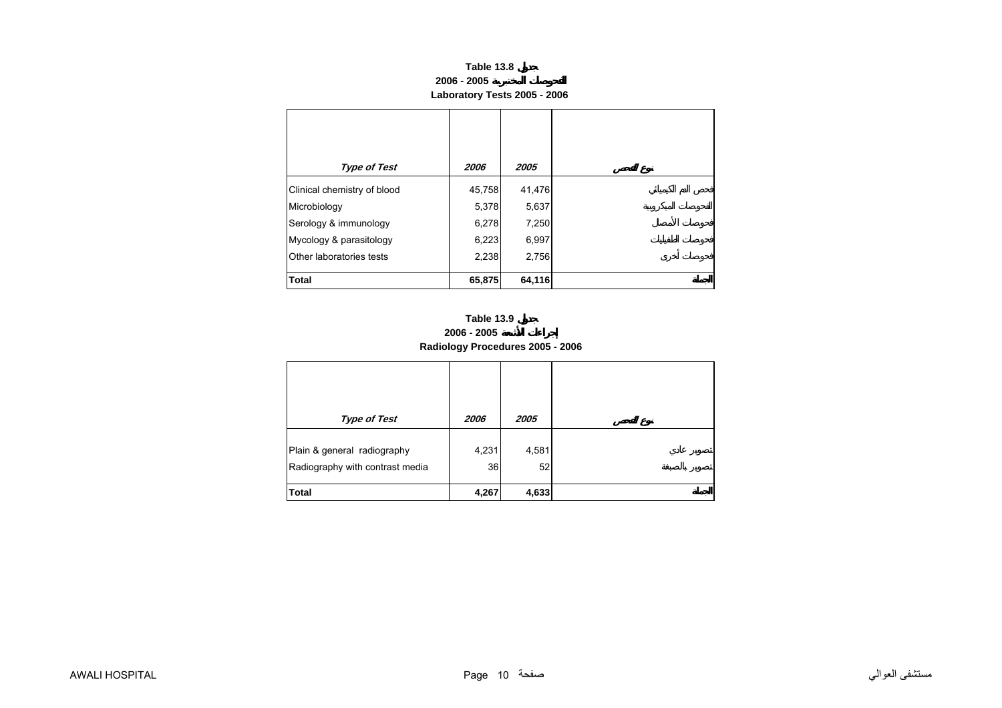| Table 13.8                   |
|------------------------------|
| 2006 - 2005                  |
| Laboratory Tests 2005 - 2006 |

<span id="page-8-0"></span>

| <b>Type of Test</b>         | 2006   | 2005   |
|-----------------------------|--------|--------|
| Clinical chemistry of blood | 45,758 | 41,476 |
| Microbiology                | 5,378  | 5,637  |
| Serology & immunology       | 6,278  | 7,250  |
| Mycology & parasitology     | 6,223  | 6,997  |
| Other laboratories tests    | 2,238  | 2,756  |
| <b>Total</b>                | 65,875 | 64,116 |



| <b>Type of Test</b>                                            | 2006        | 2005        |
|----------------------------------------------------------------|-------------|-------------|
| Plain & general radiography<br>Radiography with contrast media | 4,231<br>36 | 4,581<br>52 |
| <b>Total</b>                                                   | 4,267       | 4,633       |